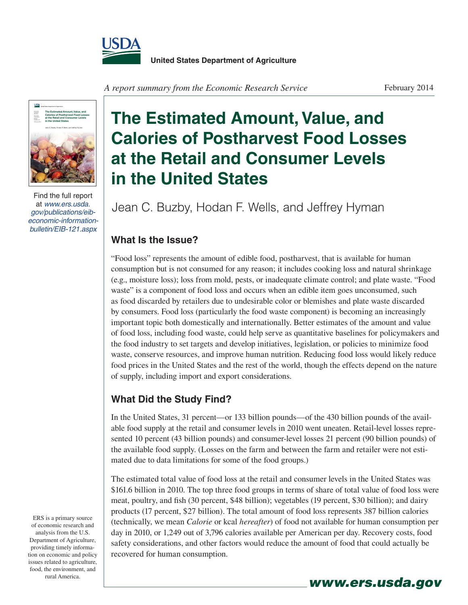

A report summary from the Economic Research Service February 2014



Find the full report at www.ers.usda. gov/publications/eibeconomic-informationbulletin/EIB-121.aspx

## **The Estimated Amount, Value, and Calories of Postharvest Food Losses at the Retail and Consumer Levels in the United States**

Jean C. Buzby, Hodan F. Wells, and Jeffrey Hyman

## **What Is the Issue?**

"Food loss" represents the amount of edible food, postharvest, that is available for human consumption but is not consumed for any reason; it includes cooking loss and natural shrinkage (e.g., moisture loss); loss from mold, pests, or inadequate climate control; and plate waste. "Food waste" is a component of food loss and occurs when an edible item goes unconsumed, such as food discarded by retailers due to undesirable color or blemishes and plate waste discarded by consumers. Food loss (particularly the food waste component) is becoming an increasingly important topic both domestically and internationally. Better estimates of the amount and value of food loss, including food waste, could help serve as quantitative baselines for policymakers and the food industry to set targets and develop initiatives, legislation, or policies to minimize food waste, conserve resources, and improve human nutrition. Reducing food loss would likely reduce food prices in the United States and the rest of the world, though the effects depend on the nature of supply, including import and export considerations.

## **What Did the Study Find?**

In the United States, 31 percent—or 133 billion pounds—of the 430 billion pounds of the available food supply at the retail and consumer levels in 2010 went uneaten. Retail-level losses represented 10 percent (43 billion pounds) and consumer-level losses 21 percent (90 billion pounds) of the available food supply. (Losses on the farm and between the farm and retailer were not estimated due to data limitations for some of the food groups.)

The estimated total value of food loss at the retail and consumer levels in the United States was \$161.6 billion in 2010. The top three food groups in terms of share of total value of food loss were meat, poultry, and fish (30 percent, \$48 billion); vegetables (19 percent, \$30 billion); and dairy products (17 percent, \$27 billion). The total amount of food loss represents 387 billion calories (technically, we mean *Calorie* or kcal *hereafter*) of food not available for human consumption per day in 2010, or 1,249 out of 3,796 calories available per American per day. Recovery costs, food safety considerations, and other factors would reduce the amount of food that could actually be recovered for human consumption.

www.ers.usda.gov

ERS is a primary source of economic research and analysis from the U.S. Department of Agriculture, providing timely information on economic and policy issues related to agriculture, food, the environment, and rural America.